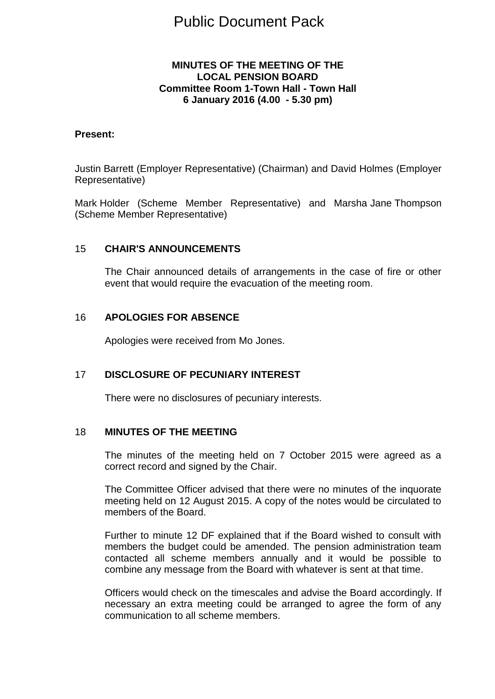# Public Document Pack

## **MINUTES OF THE MEETING OF THE LOCAL PENSION BOARD Committee Room 1-Town Hall - Town Hall 6 January 2016 (4.00 - 5.30 pm)**

#### **Present:**

Justin Barrett (Employer Representative) (Chairman) and David Holmes (Employer Representative)

Mark Holder (Scheme Member Representative) and Marsha Jane Thompson (Scheme Member Representative)

#### 15 **CHAIR'S ANNOUNCEMENTS**

The Chair announced details of arrangements in the case of fire or other event that would require the evacuation of the meeting room.

#### 16 **APOLOGIES FOR ABSENCE**

Apologies were received from Mo Jones.

#### 17 **DISCLOSURE OF PECUNIARY INTEREST**

There were no disclosures of pecuniary interests.

#### 18 **MINUTES OF THE MEETING**

The minutes of the meeting held on 7 October 2015 were agreed as a correct record and signed by the Chair.

The Committee Officer advised that there were no minutes of the inquorate meeting held on 12 August 2015. A copy of the notes would be circulated to members of the Board.

Further to minute 12 DF explained that if the Board wished to consult with members the budget could be amended. The pension administration team contacted all scheme members annually and it would be possible to combine any message from the Board with whatever is sent at that time.

Officers would check on the timescales and advise the Board accordingly. If necessary an extra meeting could be arranged to agree the form of any communication to all scheme members.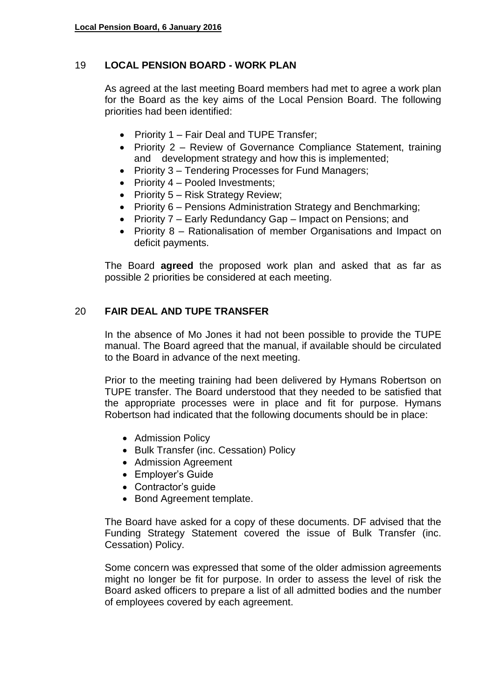# 19 **LOCAL PENSION BOARD - WORK PLAN**

As agreed at the last meeting Board members had met to agree a work plan for the Board as the key aims of the Local Pension Board. The following priorities had been identified:

- Priority 1 Fair Deal and TUPE Transfer:
- Priority 2 Review of Governance Compliance Statement, training and development strategy and how this is implemented;
- Priority 3 Tendering Processes for Fund Managers;
- Priority  $4$  Pooled Investments;
- Priority  $5 -$  Risk Strategy Review;
- Priority 6 Pensions Administration Strategy and Benchmarking;
- Priority 7 Early Redundancy Gap Impact on Pensions; and
- Priority 8 Rationalisation of member Organisations and Impact on deficit payments.

The Board **agreed** the proposed work plan and asked that as far as possible 2 priorities be considered at each meeting.

# 20 **FAIR DEAL AND TUPE TRANSFER**

In the absence of Mo Jones it had not been possible to provide the TUPE manual. The Board agreed that the manual, if available should be circulated to the Board in advance of the next meeting.

Prior to the meeting training had been delivered by Hymans Robertson on TUPE transfer. The Board understood that they needed to be satisfied that the appropriate processes were in place and fit for purpose. Hymans Robertson had indicated that the following documents should be in place:

- Admission Policy
- Bulk Transfer (inc. Cessation) Policy
- Admission Agreement
- Employer's Guide
- Contractor's quide
- Bond Agreement template.

The Board have asked for a copy of these documents. DF advised that the Funding Strategy Statement covered the issue of Bulk Transfer (inc. Cessation) Policy.

Some concern was expressed that some of the older admission agreements might no longer be fit for purpose. In order to assess the level of risk the Board asked officers to prepare a list of all admitted bodies and the number of employees covered by each agreement.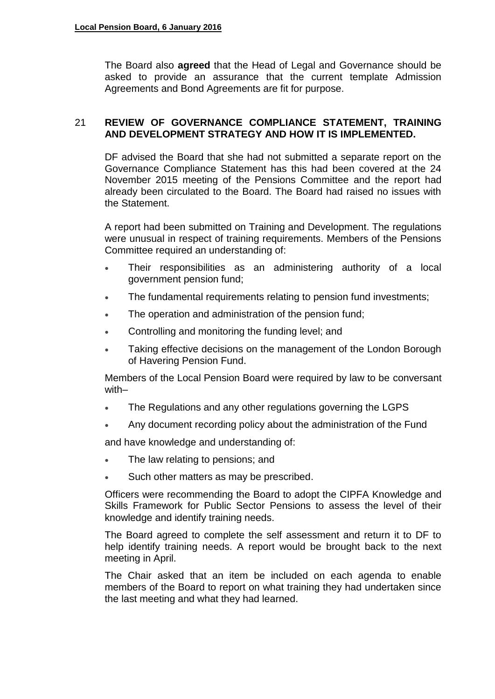The Board also **agreed** that the Head of Legal and Governance should be asked to provide an assurance that the current template Admission Agreements and Bond Agreements are fit for purpose.

# 21 **REVIEW OF GOVERNANCE COMPLIANCE STATEMENT, TRAINING AND DEVELOPMENT STRATEGY AND HOW IT IS IMPLEMENTED.**

DF advised the Board that she had not submitted a separate report on the Governance Compliance Statement has this had been covered at the 24 November 2015 meeting of the Pensions Committee and the report had already been circulated to the Board. The Board had raised no issues with the Statement.

A report had been submitted on Training and Development. The regulations were unusual in respect of training requirements. Members of the Pensions Committee required an understanding of:

- Their responsibilities as an administering authority of a local government pension fund;
- The fundamental requirements relating to pension fund investments;
- The operation and administration of the pension fund;
- **Controlling and monitoring the funding level; and**
- Taking effective decisions on the management of the London Borough of Havering Pension Fund.

Members of the Local Pension Board were required by law to be conversant with–

- The Regulations and any other regulations governing the LGPS
- Any document recording policy about the administration of the Fund

and have knowledge and understanding of:

- The law relating to pensions; and
- Such other matters as may be prescribed.

Officers were recommending the Board to adopt the CIPFA Knowledge and Skills Framework for Public Sector Pensions to assess the level of their knowledge and identify training needs.

The Board agreed to complete the self assessment and return it to DF to help identify training needs. A report would be brought back to the next meeting in April.

The Chair asked that an item be included on each agenda to enable members of the Board to report on what training they had undertaken since the last meeting and what they had learned.